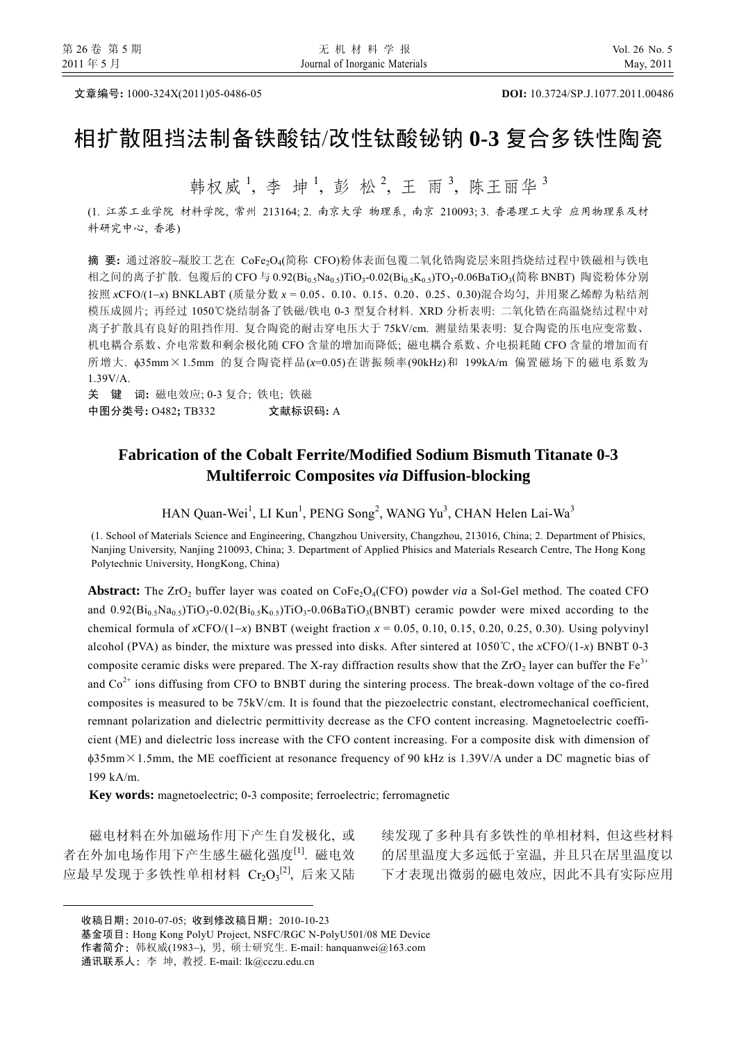文章编号**:** 1000-324X(2011)05-0486-05 **DOI:** 10.3724/SP.J.1077.2011.00486

# 相扩散阻挡法制备铁酸钴/改性钛酸铋钠 **0-3** 复合多铁性陶瓷

韩权威<sup>1</sup>, 李坤<sup>1</sup>, 彭松<sup>2</sup>, 王雨<sup>3</sup>, 陈王丽华<sup>3</sup>

(1. 江苏工业学院 材料学院, 常州 213164; 2. 南京大学 物理系, 南京 210093; 3. 香港理工大学 应用物理系及材 料研究中心, 香港)

摘 要**:** 通过溶胶−凝胶工艺在 CoFe2O4(简称 CFO)粉体表面包覆二氧化锆陶瓷层来阻挡烧结过程中铁磁相与铁电 相之间的离子扩散. 包覆后的 CFO 与 0.92(Bi<sub>0.5</sub>Na<sub>0.5</sub>)TiO<sub>3</sub>-0.02(Bi<sub>0.5</sub>K<sub>0.5</sub>)TO<sub>3</sub>-0.06BaTiO<sub>3</sub>(简称 BNBT) 陶瓷粉体分别 按照 *x*CFO/(1−*x*) BNKLABT (质量分数 *x* = 0.05、0.10、0.15、0.20、0.25、0.30)混合均匀, 并用聚乙烯醇为粘结剂 模压成圆片; 再经过 1050℃烧结制备了铁磁/铁电 0-3 型复合材料. XRD 分析表明: 二氧化锆在高温烧结过程中对 离子扩散具有良好的阻挡作用. 复合陶瓷的耐击穿电压大于 75kV/cm. 测量结果表明: 复合陶瓷的压电应变常数、 机电耦合系数、介电常数和剩余极化随 CFO 含量的增加而降低; 磁电耦合系数、介电损耗随 CFO 含量的增加而有 所增大. φ35mm×1.5mm 的复合陶瓷样品(*x*=0.05)在谐振频率(90kHz)和 199kA/m 偏置磁场下的磁电系数为 1.39V/A.

关 键 词**:** 磁电效应; 0-3 复合; 铁电; 铁磁 中图分类号**:** O482**;** TB332文献标识码**:** A

### **Fabrication of the Cobalt Ferrite/Modified Sodium Bismuth Titanate 0-3 Multiferroic Composites** *via* **Diffusion-blocking**

 $HAN$  Quan-Wei<sup>1</sup>, LI Kun<sup>1</sup>, PENG Song<sup>2</sup>, WANG Yu<sup>3</sup>, CHAN Helen Lai-Wa<sup>3</sup>

(1. School of Materials Science and Engineering, Changzhou University, Changzhou, 213016, China; 2. Department of Phisics, Nanjing University, Nanjing 210093, China; 3. Department of Applied Phisics and Materials Research Centre, The Hong Kong Polytechnic University, HongKong, China)

**Abstract:** The ZrO<sub>2</sub> buffer layer was coated on CoFe<sub>2</sub>O<sub>4</sub>(CFO) powder *via* a Sol-Gel method. The coated CFO and  $0.92(Bi_05Na_05)TiO_3-0.02(Bi_05Ka_05)TiO_3-0.06BaTiO_3(BNBT)$  ceramic powder were mixed according to the chemical formula of *x*CFO/(1-*x*) BNBT (weight fraction  $x = 0.05$ , 0.10, 0.15, 0.20, 0.25, 0.30). Using polyvinyl alcohol (PVA) as binder, the mixture was pressed into disks. After sintered at 1050℃, the *x*CFO/(1-*x*) BNBT 0-3 composite ceramic disks were prepared. The X-ray diffraction results show that the  $ZrO<sub>2</sub>$  layer can buffer the Fe<sup>3+</sup> and  $\text{Co}^{2+}$  ions diffusing from CFO to BNBT during the sintering process. The break-down voltage of the co-fired composites is measured to be 75kV/cm. It is found that the piezoelectric constant, electromechanical coefficient, remnant polarization and dielectric permittivity decrease as the CFO content increasing. Magnetoelectric coefficient (ME) and dielectric loss increase with the CFO content increasing. For a composite disk with dimension of φ35mm×1.5mm, the ME coefficient at resonance frequency of 90 kHz is 1.39V/A under a DC magnetic bias of 199 kA/m.

**Key words:** magnetoelectric; 0-3 composite; ferroelectric; ferromagnetic

磁电材料在外加磁场作用下产生自发极化, 或 者在外加电场作用下产生感生磁化强度[1]. 磁电效 应最早发现于多铁性单相材料  $\mathrm{Cr}_2\mathrm{O}_3{}^{[2]}$ , 后来又陆

续发现了多种具有多铁性的单相材料, 但这些材料 的居里温度大多远低于室温, 并且只在居里温度以 下才表现出微弱的磁电效应, 因此不具有实际应用

l

基金项目: Hong Kong PolyU Project, NSFC/RGC N-PolyU501/08 ME Device

作者简介: 韩权威(1983−), 男, 硕士研究生. E-mail: hanquanwei@163.com

通讯联系人: 李 坤, 教授. E-mail: lk@cczu.edu.cn

收稿日期: 2010-07-05; 收到修改稿日期: 2010-10-23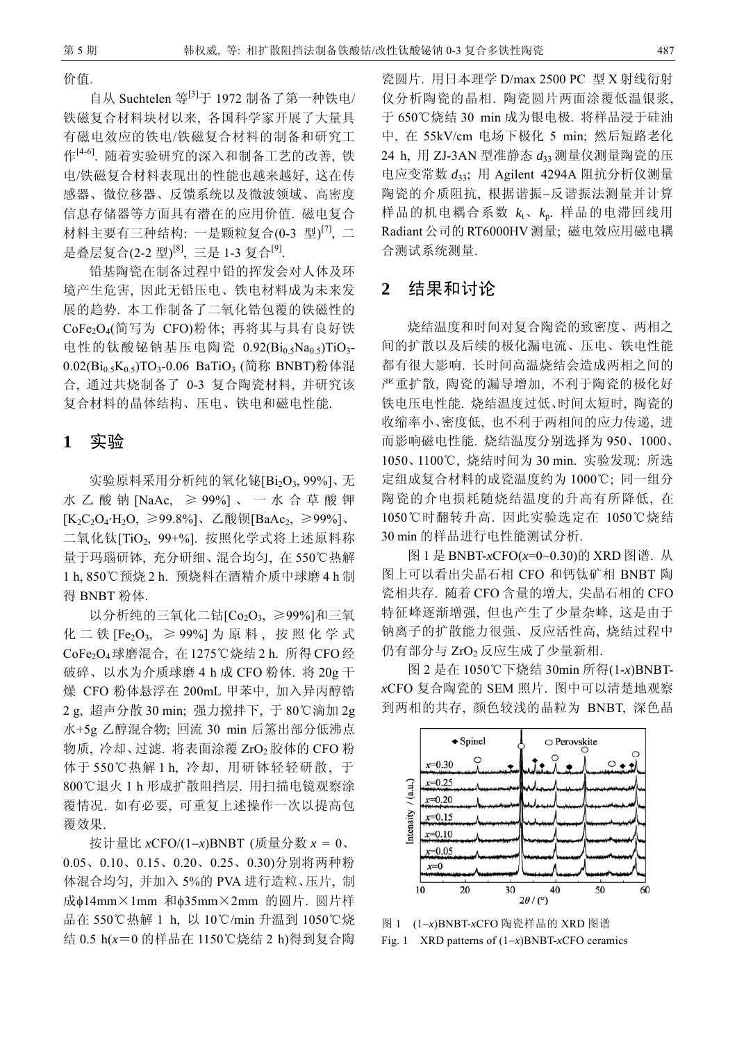价值.

自从 Suchtelen 等<sup>[3]</sup>于 1972 制备了第一种铁电/ 铁磁复合材料块材以来, 各国科学家开展了大量具 有磁电效应的铁电/铁磁复合材料的制备和研究工 作[4-6]. 随着实验研究的深入和制备工艺的改善, 铁 电/铁磁复合材料表现出的性能也越来越好, 这在传 感器、微位移器、反馈系统以及微波领域、高密度 信息存储器等方面具有潜在的应用价值. 磁电复合 材料主要有三种结构: 一是颗粒复合(0-3 型)<sup>[7]</sup>, 二 是叠层复合(2-2 型)<sup>[8]</sup>, 三是 1-3 复合<sup>[9]</sup>.

铅基陶瓷在制备过程中铅的挥发会对人体及环 境产生危害, 因此无铅压电、铁电材料成为未来发 展的趋势. 本工作制备了二氧化锆包覆的铁磁性的 CoFe2O4(简写为 CFO)粉体; 再将其与具有良好铁 电性的钛酸铋钠基压电陶瓷  $0.92(Bi_0,Na_0,s)$ TiO<sub>3</sub>- $0.02(Bi_0, K_0, TO_3-0.06$  BaTiO<sub>3</sub> (简称 BNBT)粉体混 合, 通过共烧制备了 0-3 复合陶瓷材料, 并研究该 复合材料的晶体结构、压电、铁电和磁电性能.

#### **1** 实验

实验原料采用分析纯的氧化铋[Bi<sub>2</sub>O<sub>3</sub>, 99%]、无 水乙酸钠 [NaAc, ≥ 99%] 、一水合草酸钾  $[K_2C_2O_4·H_2O, ≥99.8%$ ]、乙酸钡[BaAc<sub>2</sub>, ≥99%]、 二氧化钛[TiO<sub>2,</sub> 99+%]. 按照化学式将上述原料称 量于玛瑙研钵, 充分研细、混合均匀, 在550℃热解 1 h, 850℃预烧 2 h. 预烧料在酒精介质中球磨 4 h 制 得 BNBT 粉体.

以分析纯的三氧化二钴 $[Co<sub>2</sub>O<sub>3</sub>]$  ≥99%]和三氧 化二铁 [Fe<sub>2</sub>O<sub>3</sub>, ≥ 99%] 为原料, 按照化学式 CoFe2O4球磨混合, 在 1275℃烧结 2 h. 所得 CFO 经 破碎、以水为介质球磨 4 h 成 CFO 粉体. 将 20g 干 燥 CFO 粉体悬浮在 200mL 甲苯中, 加入异丙醇锆 2 g, 超声分散 30 min; 强力搅拌下, 于 80℃滴加 2g 水+5g 乙醇混合物; 回流 30 min 后篜出部分低沸点 物质, 冷却、过滤. 将表面涂覆  $ZrO<sub>2</sub>$ 胶体的 CFO 粉 体于 550℃热解 1 h, 冷却, 用研钵轻轻研散, 于 800℃退火 1 h 形成扩散阻挡层. 用扫描电镜观察涂 覆情况. 如有必要, 可重复上述操作一次以提高包 覆效果.

按计量比 *x*CFO/(1−*x*)BNBT (质量分数 *x* = 0、 0.05、0.10、0.15、0.20、0.25、0.30)分别将两种粉 体混合均匀, 并加入 5%的 PVA 进行造粒、压片, 制 成φ14mm×1mm 和φ35mm×2mm 的圆片. 圆片样 品在 550℃热解 1 h, 以 10℃/min 升温到 1050℃烧 结 0.5 h(*x*=0 的样品在 1150℃烧结 2 h)得到复合陶

瓷圆片. 用日本理学 D/max 2500 PC 型 X 射线衍射 仪分析陶瓷的晶相. 陶瓷圆片两面涂覆低温银浆, 于 650℃烧结 30 min 成为银电极. 将样品浸于硅油 中, 在 55kV/cm 电场下极化 5 min; 然后短路老化 24 h, 用 ZJ-3AN 型准静态 *d*<sup>33</sup> 测量仪测量陶瓷的压 电应变常数 *d*33; 用 Agilent 4294A 阻抗分析仪测量 陶瓷的介质阻抗, 根据谐振−反谐振法测量并计算 样品的机电耦合系数  $k_t$ 、 $k_p$ . 样品的电滞回线用 Radiant 公司的 RT6000HV 测量; 磁电效应用磁电耦 合测试系统测量.

#### **2** 结果和讨论

烧结温度和时间对复合陶瓷的致密度、两相之 间的扩散以及后续的极化漏电流、压电、铁电性能 都有很大影响. 长时间高温烧结会造成两相之间的 严重扩散, 陶瓷的漏导增加, 不利于陶瓷的极化好 铁电压电性能. 烧结温度过低、时间太短时, 陶瓷的 收缩率小、密度低, 也不利于两相间的应力传递, 进 而影响磁电性能. 烧结温度分别选择为 950、1000、 1050、1100℃, 烧结时间为 30 min. 实验发现: 所选 定组成复合材料的成瓷温度约为 1000℃; 同一组分 陶瓷的介电损耗随烧结温度的升高有所降低, 在 1050℃时翻转升高. 因此实验选定在 1050℃烧结 30 min 的样品进行电性能测试分析.

图 1 是 BNBT-*x*CFO(*x*=0~0.30)的 XRD 图谱. 从 图上可以看出尖晶石相 CFO 和钙钛矿相 BNBT 陶 瓷相共存. 随着 CFO 含量的增大, 尖晶石相的 CFO 特征峰逐渐增强, 但也产生了少量杂峰, 这是由于 钠离子的扩散能力很强、反应活性高, 烧结过程中 仍有部分与 ZrO<sub>2</sub> 反应生成了少量新相.

图 2 是在 1050℃下烧结 30min 所得(1-*x*)BNBT*x*CFO 复合陶瓷的 SEM 照片. 图中可以清楚地观察 到两相的共存, 颜色较浅的晶粒为 BNBT, 深色晶



图 1 (1−*x*)BNBT-*x*CFO 陶瓷样品的 XRD 图谱 Fig. 1 XRD patterns of (1−*x*)BNBT-*x*CFO ceramics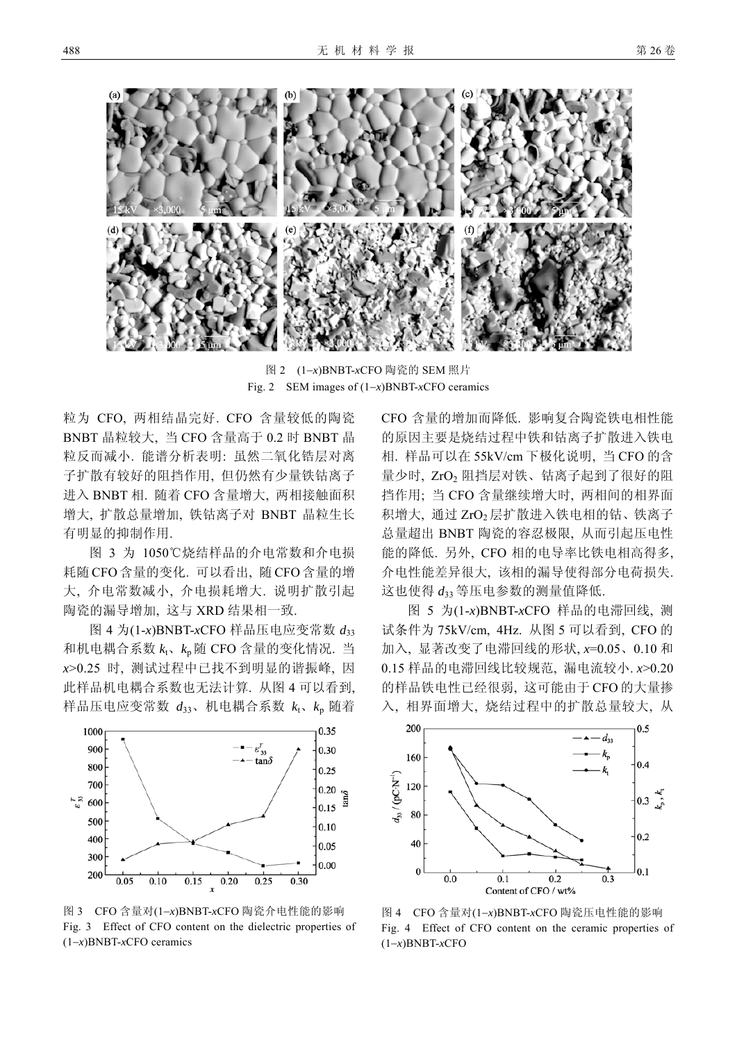

图 2 (1−*x*)BNBT-*x*CFO 陶瓷的 SEM 照片 Fig. 2 SEM images of (1−*x*)BNBT-*x*CFO ceramics

粒为 CFO, 两相结晶完好. CFO 含量较低的陶瓷 BNBT 晶粒较大, 当 CFO 含量高于 0.2 时 BNBT 晶 粒反而减小. 能谱分析表明: 虽然二氧化锆层对离 子扩散有较好的阻挡作用, 但仍然有少量铁钴离子 进入 BNBT 相. 随着 CFO 含量增大, 两相接触面积 增大, 扩散总量增加, 铁钴离子对 BNBT 晶粒生长 有明显的抑制作用.

图 3 为 1050℃烧结样品的介电常数和介电损 耗随 CFO 含量的变化. 可以看出, 随 CFO 含量的增 大, 介电常数减小, 介电损耗增大. 说明扩散引起 陶瓷的漏导增加, 这与 XRD 结果相一致.

图 4 为(1-*x*)BNBT-*x*CFO 样品压电应变常数 *d*<sup>33</sup> 和机电耦合系数  $k_t$ 、 $k_p$ 随 CFO 含量的变化情况. 当 *x*>0.25 时, 测试过程中已找不到明显的谐振峰, 因 此样品机电耦合系数也无法计算. 从图 4 可以看到, 样品压电应变常数  $d_{33}$ 、机电耦合系数  $k_1$ 、 $k_2$  随着



图 3 CFO 含量对(1−*x*)BNBT-*x*CFO 陶瓷介电性能的影响 Fig. 3 Effect of CFO content on the dielectric properties of (1−*x*)BNBT-*x*CFO ceramics

CFO 含量的增加而降低. 影响复合陶瓷铁电相性能 的原因主要是烧结过程中铁和钴离子扩散进入铁电 相. 样品可以在 55kV/cm 下极化说明, 当 CFO 的含 量少时, ZrO2 阻挡层对铁、钴离子起到了很好的阻 挡作用; 当 CFO 含量继续增大时, 两相间的相界面 积增大, 通过 ZrO<sub>2</sub>层扩散进入铁电相的钴、铁离子 总量超出 BNBT 陶瓷的容忍极限, 从而引起压电性 能的降低. 另外, CFO 相的电导率比铁电相高得多, 介电性能差异很大, 该相的漏导使得部分电荷损失. 这也使得 *d*<sup>33</sup> 等压电参数的测量值降低.

图 5 为(1-*x*)BNBT-*x*CFO 样品的电滞回线, 测 试条件为 75kV/cm, 4Hz. 从图 5 可以看到, CFO 的 加入, 显著改变了电滞回线的形状, *x*=0.05、0.10 和 0.15 样品的电滞回线比较规范, 漏电流较小. *x*>0.20 的样品铁电性已经很弱, 这可能由于 CFO 的大量掺 入, 相界面增大, 烧结过程中的扩散总量较大, 从



图 4 CFO 含量对(1−*x*)BNBT-*x*CFO 陶瓷压电性能的影响 Fig. 4 Effect of CFO content on the ceramic properties of (1−*x*)BNBT-*x*CFO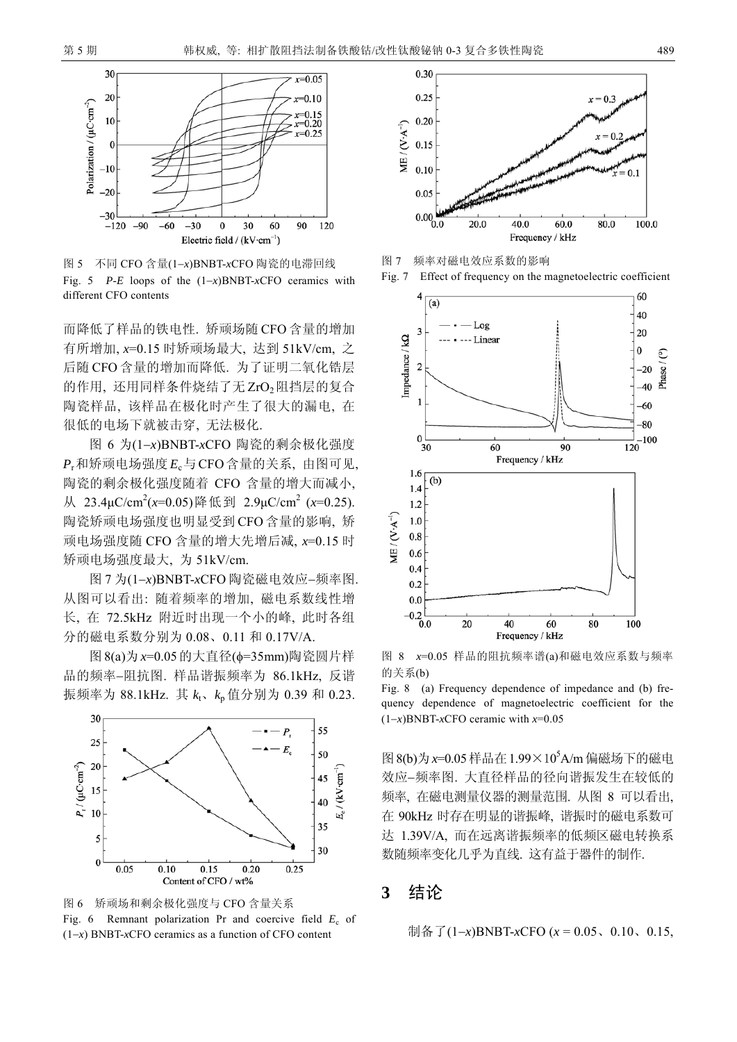

图 5 不同 CFO 含量(1−*x*)BNBT-*x*CFO 陶瓷的电滞回线 Fig. 5 *P*-*E* loops of the (1−*x*)BNBT-*x*CFO ceramics with different CFO contents

而降低了样品的铁电性. 矫顽场随 CFO 含量的增加 有所增加, *x*=0.15 时矫顽场最大, 达到 51kV/cm, 之 后随 CFO 含量的增加而降低. 为了证明二氧化锆层 的作用, 还用同样条件烧结了无 ZrO<sub>2</sub>阻挡层的复合 陶瓷样品, 该样品在极化时产生了很大的漏电, 在 很低的电场下就被击穿, 无法极化.

图 6 为(1−*x*)BNBT-*x*CFO 陶瓷的剩余极化强度 *P*r和矫顽电场强度*E*c与CFO含量的关系, 由图可见, 陶瓷的剩余极化强度随着 CFO 含量的增大而减小, 从 23.4μC/cm2 (*x*=0.05)降低到 2.9μC/cm2 (*x*=0.25). 陶瓷矫顽电场强度也明显受到 CFO 含量的影响, 矫 顽电场强度随 CFO 含量的增大先增后减, *x*=0.15 时 矫顽电场强度最大, 为 51kV/cm.

图 7 为(1−*x*)BNBT-*x*CFO 陶瓷磁电效应−频率图. 从图可以看出: 随着频率的增加, 磁电系数线性增 长, 在 72.5kHz 附近时出现一个小的峰, 此时各组 分的磁电系数分别为 0.08、0.11 和 0.17V/A.

图8(a)为*x*=0.05的大直径(φ=35mm)陶瓷圆片样 品的频率−阻抗图. 样品谐振频率为 86.1kHz, 反谐 振频率为 88.1kHz. 其  $k_1$ 、 $k_p$ 值分别为 0.39 和 0.23.



图 6 矫顽场和剩余极化强度与 CFO 含量关系 Fig. 6 Remnant polarization Pr and coercive field  $E_c$  of (1−*x*) BNBT-*x*CFO ceramics as a function of CFO content



图 7 频率对磁电效应系数的影响





图 8 *x*=0.05 样品的阻抗频率谱(a)和磁电效应系数与频率 的关系(b)

Fig. 8 (a) Frequency dependence of impedance and (b) frequency dependence of magnetoelectric coefficient for the (1−*x*)BNBT-*x*CFO ceramic with *x*=0.05

图 8(b)为 x=0.05 样品在 1.99×10<sup>5</sup>A/m 偏磁场下的磁电 效应−频率图. 大直径样品的径向谐振发生在较低的 频率, 在磁电测量仪器的测量范围. 从图 8 可以看出, 在 90kHz 时存在明显的谐振峰, 谐振时的磁电系数可 达 1.39V/A, 而在远离谐振频率的低频区磁电转换系 数随频率变化几乎为直线. 这有益于器件的制作.

## **3** 结论

制备了(1−*x*)BNBT-*x*CFO (*x* = 0.05、0.10、0.15,